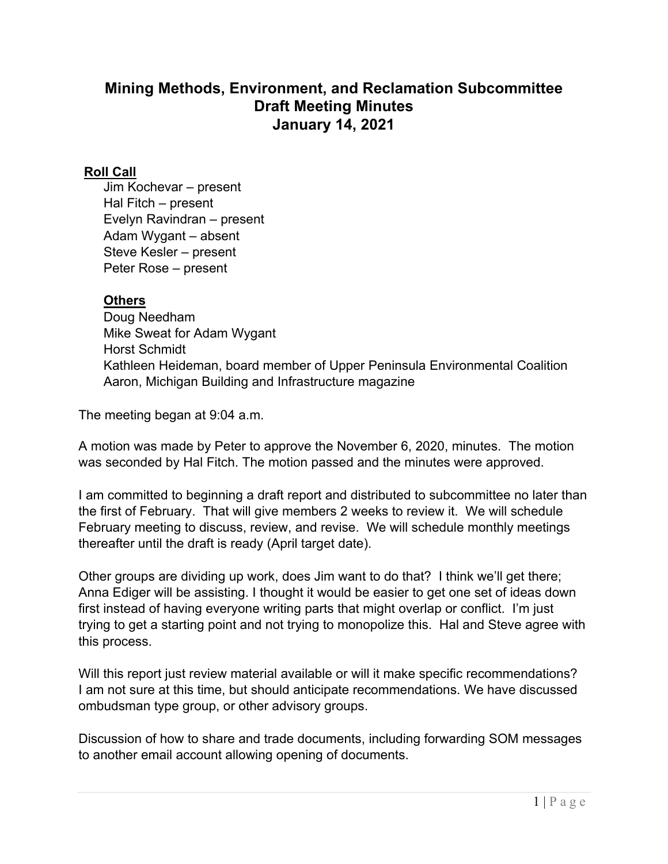## **Mining Methods, Environment, and Reclamation Subcommittee Draft Meeting Minutes January 14, 2021**

## **Roll Call**

Jim Kochevar – present Hal Fitch – present Evelyn Ravindran – present Adam Wygant – absent Steve Kesler – present Peter Rose – present

## **Others**

Doug Needham Mike Sweat for Adam Wygant Horst Schmidt Kathleen Heideman, board member of Upper Peninsula Environmental Coalition Aaron, Michigan Building and Infrastructure magazine

The meeting began at 9:04 a.m.

A motion was made by Peter to approve the November 6, 2020, minutes. The motion was seconded by Hal Fitch. The motion passed and the minutes were approved.

I am committed to beginning a draft report and distributed to subcommittee no later than the first of February. That will give members 2 weeks to review it. We will schedule February meeting to discuss, review, and revise. We will schedule monthly meetings thereafter until the draft is ready (April target date).

Other groups are dividing up work, does Jim want to do that? I think we'll get there; Anna Ediger will be assisting. I thought it would be easier to get one set of ideas down first instead of having everyone writing parts that might overlap or conflict. I'm just trying to get a starting point and not trying to monopolize this. Hal and Steve agree with this process.

Will this report just review material available or will it make specific recommendations? I am not sure at this time, but should anticipate recommendations. We have discussed ombudsman type group, or other advisory groups.

Discussion of how to share and trade documents, including forwarding SOM messages to another email account allowing opening of documents.